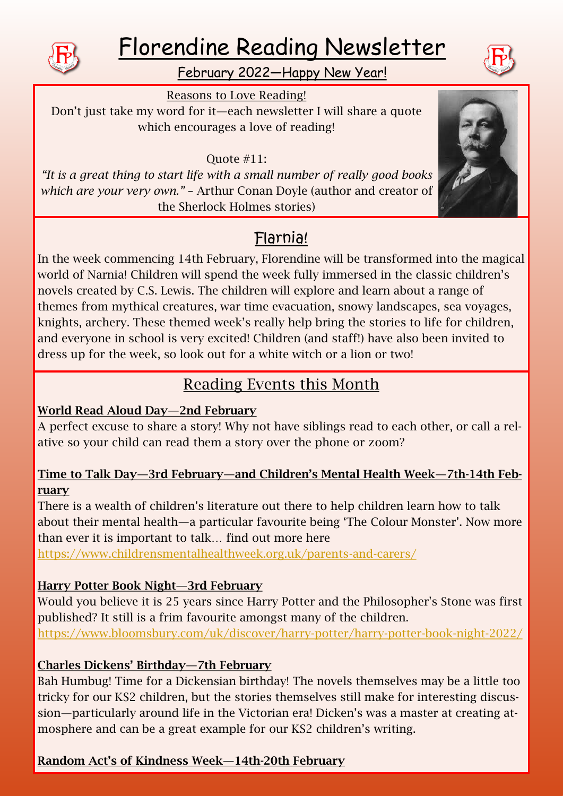

# Florendine Reading Newsletter



Reasons to Love Reading! Don't just take my word for it—each newsletter I will share a quote which encourages a love of reading!

Quote #11:

*"It is a great thing to start life with a small number of really good books which are your very own."* – Arthur Conan Doyle (author and creator of the Sherlock Holmes stories)

# Flarnia!

In the week commencing 14th February, Florendine will be transformed into the magical world of Narnia! Children will spend the week fully immersed in the classic children's novels created by C.S. Lewis. The children will explore and learn about a range of themes from mythical creatures, war time evacuation, snowy landscapes, sea voyages, knights, archery. These themed week's really help bring the stories to life for children, and everyone in school is very excited! Children (and staff!) have also been invited to dress up for the week, so look out for a white witch or a lion or two!

# Reading Events this Month

# World Read Aloud Day—2nd February

A perfect excuse to share a story! Why not have siblings read to each other, or call a relative so your child can read them a story over the phone or zoom?

#### Time to Talk Day—3rd February—and Children's Mental Health Week—7th-14th February

There is a wealth of children's literature out there to help children learn how to talk about their mental health—a particular favourite being 'The Colour Monster'. Now more than ever it is important to talk… find out more here

<https://www.childrensmentalhealthweek.org.uk/parents-and-carers/>

# Harry Potter Book Night—3rd February

Would you believe it is 25 years since Harry Potter and the Philosopher's Stone was first published? It still is a frim favourite amongst many of the children. <https://www.bloomsbury.com/uk/discover/harry-potter/harry-potter-book-night-2022/>

# Charles Dickens' Birthday—7th February

Bah Humbug! Time for a Dickensian birthday! The novels themselves may be a little too tricky for our KS2 children, but the stories themselves still make for interesting discussion—particularly around life in the Victorian era! Dicken's was a master at creating atmosphere and can be a great example for our KS2 children's writing.

# Random Act's of Kindness Week—14th-20th February